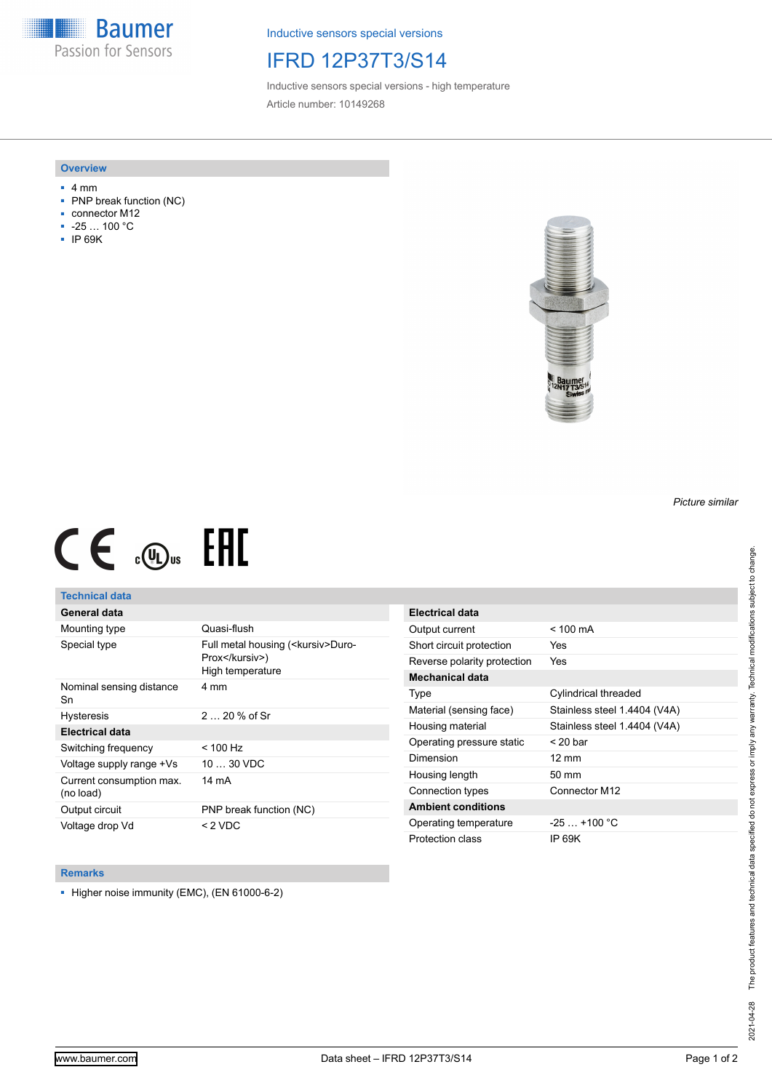**Baumer** Passion for Sensors

Inductive sensors special versions

## IFRD 12P37T3/S14

Inductive sensors special versions - high temperature Article number: 10149268

### **Overview**

- 4 mm
- PNP break function (NC)
- connector M12
- -25 … 100 °C
- IP 69K



# $CE \mathcal{L}$  ( $\mathcal{L}$  and  $SE$

## **Technical data**

## **General data**

| Mounting type                         | Quasi-flush                                                                |
|---------------------------------------|----------------------------------------------------------------------------|
| Special type                          | Full metal housing ( <kursiv>Duro-<br/>Prox</kursiv> )<br>High temperature |
| Nominal sensing distance<br>Sn        | 4 mm                                                                       |
| <b>Hysteresis</b>                     | $220%$ of Sr                                                               |
| <b>Electrical data</b>                |                                                                            |
| Switching frequency                   | $<$ 100 Hz                                                                 |
| Voltage supply range +Vs              | $1030$ VDC                                                                 |
| Current consumption max.<br>(no load) | 14 mA                                                                      |
| Output circuit                        | PNP break function (NC)                                                    |
| Voltage drop Vd                       | $<$ 2 VDC                                                                  |

| <b>Electrical data</b>      |                              |
|-----------------------------|------------------------------|
| Output current              | $< 100 \text{ mA}$           |
| Short circuit protection    | Yes                          |
| Reverse polarity protection | Yes                          |
| Mechanical data             |                              |
| Type                        | Cylindrical threaded         |
| Material (sensing face)     | Stainless steel 1.4404 (V4A) |
| Housing material            | Stainless steel 1.4404 (V4A) |
| Operating pressure static   | $<$ 20 bar                   |
| Dimension                   | $12 \text{ mm}$              |
| Housing length              | $50 \text{ mm}$              |
| Connection types            | Connector M12                |
| <b>Ambient conditions</b>   |                              |
| Operating temperature       | $-25+100 °C$                 |
| Protection class            | IP 69K                       |

#### **Remarks**

■ Higher noise immunity (EMC), (EN 61000-6-2)

*Picture similar*